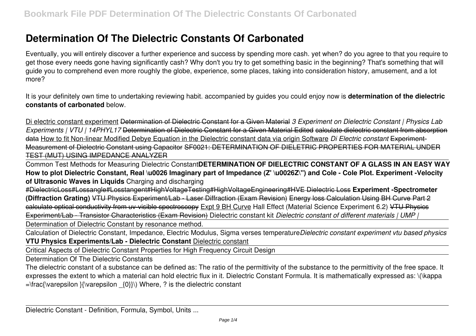# **Determination Of The Dielectric Constants Of Carbonated**

Eventually, you will entirely discover a further experience and success by spending more cash. yet when? do you agree to that you require to get those every needs gone having significantly cash? Why don't you try to get something basic in the beginning? That's something that will guide you to comprehend even more roughly the globe, experience, some places, taking into consideration history, amusement, and a lot more?

It is your definitely own time to undertaking reviewing habit. accompanied by guides you could enjoy now is **determination of the dielectric constants of carbonated** below.

Di electric constant experiment Determination of Dielectric Constant for a Given Material *3 Experiment on Dielectric Constant | Physics Lab Experiments | VTU | 14PHYL17* Determination of Dielectric Constant for a Given Material Edited calculate dielectric constant from absorption data How to fit Non-linear Modified Debye Equation in the Dielectric constant data via origin Software *Di Electric constant* Experiment-Measurement of Dielectric Constant using Capacitor SF0021: DETERMINATION OF DIELETRIC PROPERTIES FOR MATERIAL UNDER TEST (MUT) USING IMPEDANCE ANALYZER

Common Test Methods for Measuring Dielectric Constant**DETERMINATION OF DIELECTRIC CONSTANT OF A GLASS IN AN EASY WAY How to plot Dielectric Constant, Real \u0026 Imaginary part of Impedance (Z' \u0026Z\") and Cole - Cole Plot. Experiment -Velocity of Ultrasonic Waves in Liquids** Charging and discharging

#DielectricLoss#Lossangle#Losstangent#HighVoltageTesting#HighVoltageEngineering#HVE Dielectric Loss **Experiment -Spectrometer (Diffraction Grating)** VTU Physics Experiment/Lab - Laser Diffraction (Exam Revision) Energy loss Calculation Using BH Curve Part 2 calculate optical conductivity from uv-visible spectroscopy Expt 9 BH Curve Hall Effect (Material Science Experiment 6.2) VTU Physics Experiment/Lab - Transistor Characteristics (Exam Revision) Dielectric constant kit *Dielectric constant of different materials | UMP |*

Determination of Dielectric Constant by resonance method.

Calculation of Dielectric Constant, Impedance, Electric Modulus, Sigma verses temperature*Dielectric constant experiment vtu based physics* **VTU Physics Experiments/Lab - Dielectric Constant** Dielectric constant

Critical Aspects of Dielectric Constant Properties for High Frequency Circuit Design

Determination Of The Dielectric Constants

The dielectric constant of a substance can be defined as: The ratio of the permittivity of the substance to the permittivity of the free space. It expresses the extent to which a material can hold electric flux in it. Dielectric Constant Formula. It is mathematically expressed as: \(\kappa  $=\frac{\varepsilon}{\varepsilon}$  {\\deta \text{\text{\text{\text{\text{\text{\text{\text{\text{\text{\text{\text{\text{\text{\text{\text{\text{\text{\text{\text{\text{\text{\text{\text{\text{\stat}}}} \sigma \text{\text{\text{\text{\text{\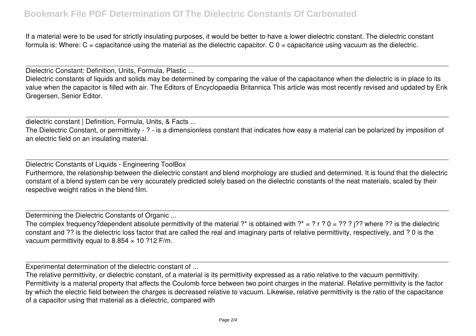## **Bookmark File PDF Determination Of The Dielectric Constants Of Carbonated**

If a material were to be used for strictly insulating purposes, it would be better to have a lower dielectric constant. The dielectric constant formula is: Where: C = capacitance using the material as the dielectric capacitor. C 0 = capacitance using vacuum as the dielectric.

Dielectric Constant: Definition, Units, Formula, Plastic ...

Dielectric constants of liquids and solids may be determined by comparing the value of the capacitance when the dielectric is in place to its value when the capacitor is filled with air. The Editors of Encyclopaedia Britannica This article was most recently revised and updated by Erik Gregersen, Senior Editor.

dielectric constant | Definition, Formula, Units, & Facts ...

The Dielectric Constant, or permittivity - ? - is a dimensionless constant that indicates how easy a material can be polarized by imposition of an electric field on an insulating material.

Dielectric Constants of Liquids - Engineering ToolBox

Furthermore, the relationship between the dielectric constant and blend morphology are studied and determined. It is found that the dielectric constant of a blend system can be very accurately predicted solely based on the dielectric constants of the neat materials, scaled by their respective weight ratios in the blend film.

Determining the Dielectric Constants of Organic ...

The complex frequency?dependent absolute permittivity of the material ?\* is obtained with ?\* = ? r ? 0 = ?? ? j?? where ?? is the dielectric constant and ?? is the dielectric loss factor that are called the real and imaginary parts of relative permittivity, respectively, and ? 0 is the vacuum permittivity equal to 8.854  $\times$  10 ?12 F/m.

Experimental determination of the dielectric constant of ...

The relative permittivity, or dielectric constant, of a material is its permittivity expressed as a ratio relative to the vacuum permittivity. Permittivity is a material property that affects the Coulomb force between two point charges in the material. Relative permittivity is the factor by which the electric field between the charges is decreased relative to vacuum. Likewise, relative permittivity is the ratio of the capacitance of a capacitor using that material as a dielectric, compared with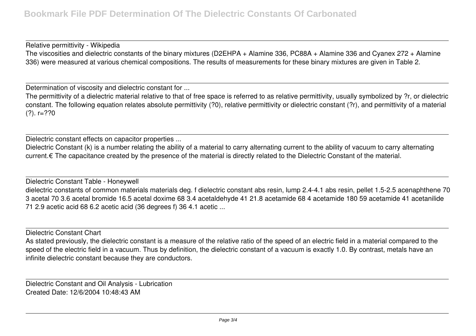Relative permittivity - Wikipedia The viscosities and dielectric constants of the binary mixtures (D2EHPA + Alamine 336, PC88A + Alamine 336 and Cyanex 272 + Alamine 336) were measured at various chemical compositions. The results of measurements for these binary mixtures are given in Table 2.

Determination of viscosity and dielectric constant for ...

The permittivity of a dielectric material relative to that of free space is referred to as relative permittivity, usually symbolized by ?r, or dielectric constant. The following equation relates absolute permittivity (?0), relative permittivity or dielectric constant (?r), and permittivity of a material  $(?)$ . r=??0

Dielectric constant effects on capacitor properties ...

Dielectric Constant (k) is a number relating the ability of a material to carry alternating current to the ability of vacuum to carry alternating current.€ The capacitance created by the presence of the material is directly related to the Dielectric Constant of the material.

Dielectric Constant Table - Honeywell dielectric constants of common materials materials deg. f dielectric constant abs resin, lump 2.4-4.1 abs resin, pellet 1.5-2.5 acenaphthene 70 3 acetal 70 3.6 acetal bromide 16.5 acetal doxime 68 3.4 acetaldehyde 41 21.8 acetamide 68 4 acetamide 180 59 acetamide 41 acetanilide 71 2.9 acetic acid 68 6.2 acetic acid (36 degrees f) 36 4.1 acetic ...

Dielectric Constant Chart

As stated previously, the dielectric constant is a measure of the relative ratio of the speed of an electric field in a material compared to the speed of the electric field in a vacuum. Thus by definition, the dielectric constant of a vacuum is exactly 1.0. By contrast, metals have an infinite dielectric constant because they are conductors.

Dielectric Constant and Oil Analysis - Lubrication Created Date: 12/6/2004 10:48:43 AM